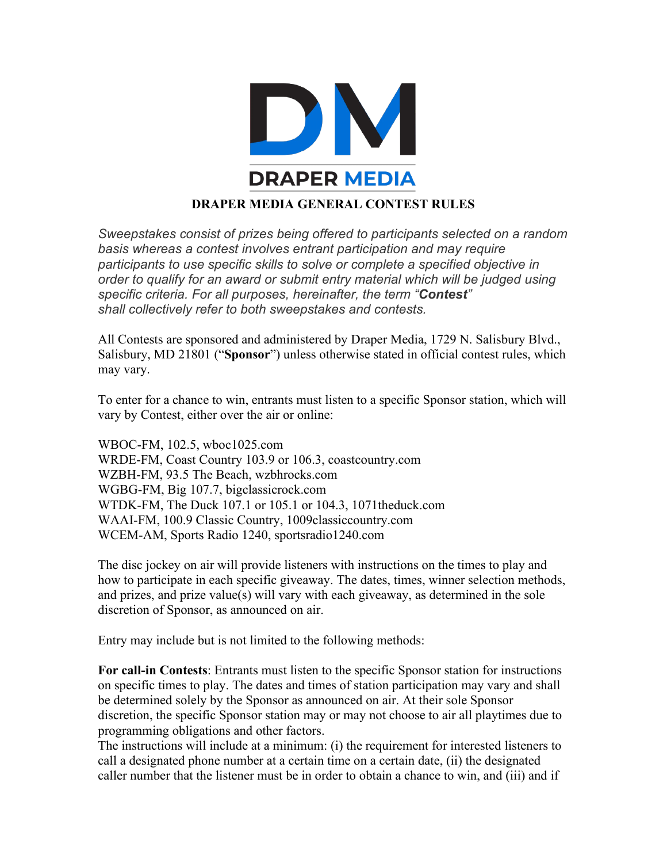

## **DRAPER MEDIA GENERAL CONTEST RULES**

*Sweepstakes consist of prizes being offered to participants selected on a random basis whereas a contest involves entrant participation and may require participants to use specific skills to solve or complete a specified objective in order to qualify for an award or submit entry material which will be judged using specific criteria. For all purposes, hereinafter, the term "Contest" shall collectively refer to both sweepstakes and contests.*

All Contests are sponsored and administered by Draper Media, 1729 N. Salisbury Blvd., Salisbury, MD 21801 ("**Sponsor**") unless otherwise stated in official contest rules, which may vary.

To enter for a chance to win, entrants must listen to a specific Sponsor station, which will vary by Contest, either over the air or online:

WBOC-FM, 102.5, wboc1025.com WRDE-FM, Coast Country 103.9 or 106.3, coastcountry.com WZBH-FM, 93.5 The Beach, wzbhrocks.com WGBG-FM, Big 107.7, bigclassicrock.com WTDK-FM, The Duck 107.1 or 105.1 or 104.3, 1071theduck.com WAAI-FM, 100.9 Classic Country, 1009classiccountry.com WCEM-AM, Sports Radio 1240, sportsradio1240.com

The disc jockey on air will provide listeners with instructions on the times to play and how to participate in each specific giveaway. The dates, times, winner selection methods, and prizes, and prize value(s) will vary with each giveaway, as determined in the sole discretion of Sponsor, as announced on air.

Entry may include but is not limited to the following methods:

**For call-in Contests**: Entrants must listen to the specific Sponsor station for instructions on specific times to play. The dates and times of station participation may vary and shall be determined solely by the Sponsor as announced on air. At their sole Sponsor discretion, the specific Sponsor station may or may not choose to air all playtimes due to programming obligations and other factors.

The instructions will include at a minimum: (i) the requirement for interested listeners to call a designated phone number at a certain time on a certain date, (ii) the designated caller number that the listener must be in order to obtain a chance to win, and (iii) and if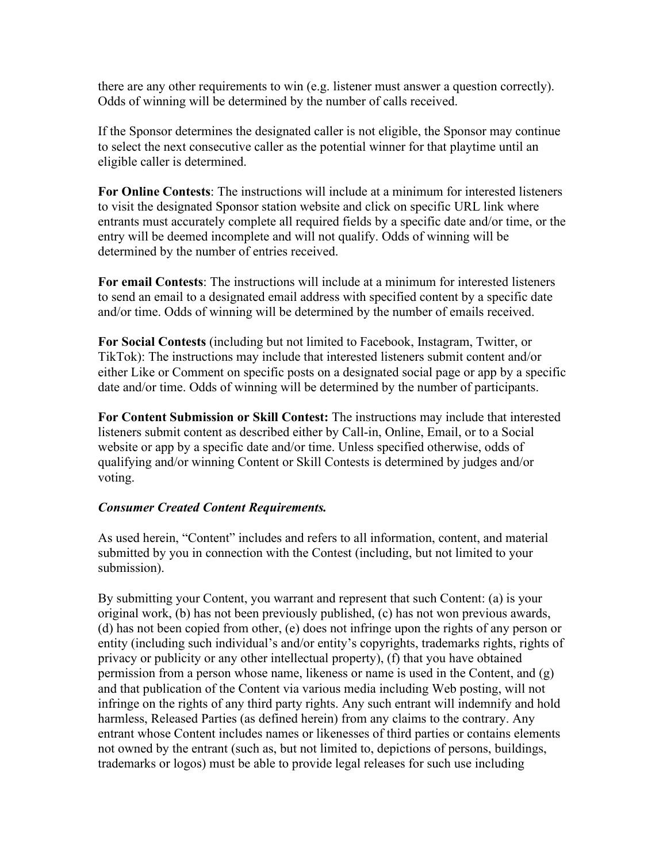there are any other requirements to win (e.g. listener must answer a question correctly). Odds of winning will be determined by the number of calls received.

If the Sponsor determines the designated caller is not eligible, the Sponsor may continue to select the next consecutive caller as the potential winner for that playtime until an eligible caller is determined.

**For Online Contests**: The instructions will include at a minimum for interested listeners to visit the designated Sponsor station website and click on specific URL link where entrants must accurately complete all required fields by a specific date and/or time, or the entry will be deemed incomplete and will not qualify. Odds of winning will be determined by the number of entries received.

**For email Contests**: The instructions will include at a minimum for interested listeners to send an email to a designated email address with specified content by a specific date and/or time. Odds of winning will be determined by the number of emails received.

**For Social Contests** (including but not limited to Facebook, Instagram, Twitter, or TikTok): The instructions may include that interested listeners submit content and/or either Like or Comment on specific posts on a designated social page or app by a specific date and/or time. Odds of winning will be determined by the number of participants.

**For Content Submission or Skill Contest:** The instructions may include that interested listeners submit content as described either by Call-in, Online, Email, or to a Social website or app by a specific date and/or time. Unless specified otherwise, odds of qualifying and/or winning Content or Skill Contests is determined by judges and/or voting.

## *Consumer Created Content Requirements.*

As used herein, "Content" includes and refers to all information, content, and material submitted by you in connection with the Contest (including, but not limited to your submission).

By submitting your Content, you warrant and represent that such Content: (a) is your original work, (b) has not been previously published, (c) has not won previous awards, (d) has not been copied from other, (e) does not infringe upon the rights of any person or entity (including such individual's and/or entity's copyrights, trademarks rights, rights of privacy or publicity or any other intellectual property), (f) that you have obtained permission from a person whose name, likeness or name is used in the Content, and (g) and that publication of the Content via various media including Web posting, will not infringe on the rights of any third party rights. Any such entrant will indemnify and hold harmless, Released Parties (as defined herein) from any claims to the contrary. Any entrant whose Content includes names or likenesses of third parties or contains elements not owned by the entrant (such as, but not limited to, depictions of persons, buildings, trademarks or logos) must be able to provide legal releases for such use including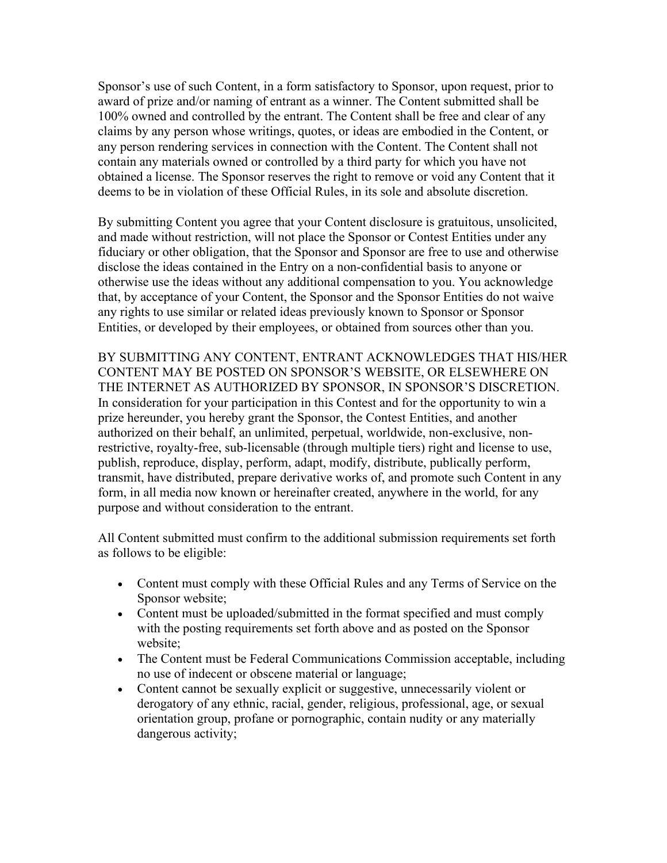Sponsor's use of such Content, in a form satisfactory to Sponsor, upon request, prior to award of prize and/or naming of entrant as a winner. The Content submitted shall be 100% owned and controlled by the entrant. The Content shall be free and clear of any claims by any person whose writings, quotes, or ideas are embodied in the Content, or any person rendering services in connection with the Content. The Content shall not contain any materials owned or controlled by a third party for which you have not obtained a license. The Sponsor reserves the right to remove or void any Content that it deems to be in violation of these Official Rules, in its sole and absolute discretion.

By submitting Content you agree that your Content disclosure is gratuitous, unsolicited, and made without restriction, will not place the Sponsor or Contest Entities under any fiduciary or other obligation, that the Sponsor and Sponsor are free to use and otherwise disclose the ideas contained in the Entry on a non-confidential basis to anyone or otherwise use the ideas without any additional compensation to you. You acknowledge that, by acceptance of your Content, the Sponsor and the Sponsor Entities do not waive any rights to use similar or related ideas previously known to Sponsor or Sponsor Entities, or developed by their employees, or obtained from sources other than you.

BY SUBMITTING ANY CONTENT, ENTRANT ACKNOWLEDGES THAT HIS/HER CONTENT MAY BE POSTED ON SPONSOR'S WEBSITE, OR ELSEWHERE ON THE INTERNET AS AUTHORIZED BY SPONSOR, IN SPONSOR'S DISCRETION. In consideration for your participation in this Contest and for the opportunity to win a prize hereunder, you hereby grant the Sponsor, the Contest Entities, and another authorized on their behalf, an unlimited, perpetual, worldwide, non-exclusive, nonrestrictive, royalty-free, sub-licensable (through multiple tiers) right and license to use, publish, reproduce, display, perform, adapt, modify, distribute, publically perform, transmit, have distributed, prepare derivative works of, and promote such Content in any form, in all media now known or hereinafter created, anywhere in the world, for any purpose and without consideration to the entrant.

All Content submitted must confirm to the additional submission requirements set forth as follows to be eligible:

- Content must comply with these Official Rules and any Terms of Service on the Sponsor website;
- Content must be uploaded/submitted in the format specified and must comply with the posting requirements set forth above and as posted on the Sponsor website;
- The Content must be Federal Communications Commission acceptable, including no use of indecent or obscene material or language;
- Content cannot be sexually explicit or suggestive, unnecessarily violent or derogatory of any ethnic, racial, gender, religious, professional, age, or sexual orientation group, profane or pornographic, contain nudity or any materially dangerous activity;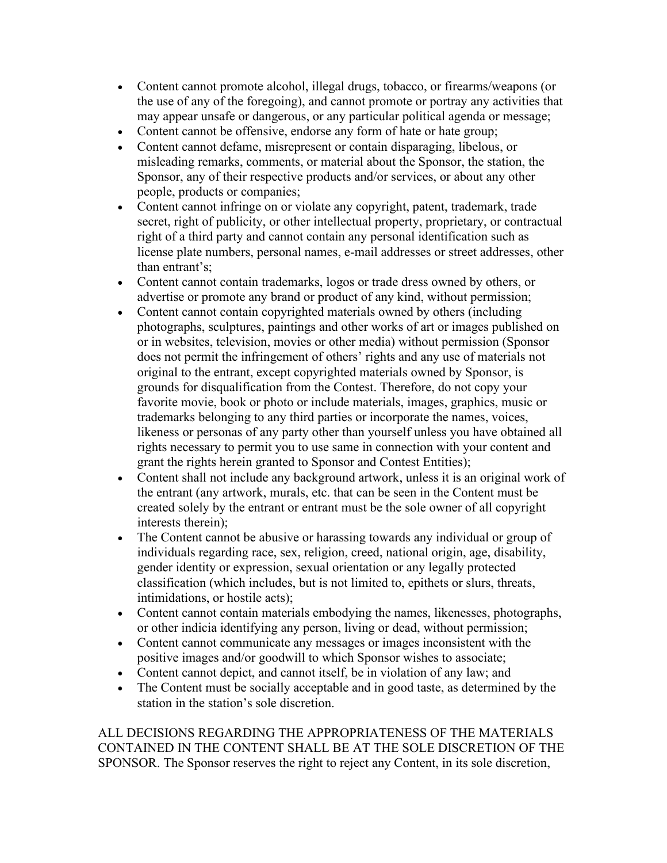- Content cannot promote alcohol, illegal drugs, tobacco, or firearms/weapons (or the use of any of the foregoing), and cannot promote or portray any activities that may appear unsafe or dangerous, or any particular political agenda or message;
- Content cannot be offensive, endorse any form of hate or hate group;
- Content cannot defame, misrepresent or contain disparaging, libelous, or misleading remarks, comments, or material about the Sponsor, the station, the Sponsor, any of their respective products and/or services, or about any other people, products or companies;
- Content cannot infringe on or violate any copyright, patent, trademark, trade secret, right of publicity, or other intellectual property, proprietary, or contractual right of a third party and cannot contain any personal identification such as license plate numbers, personal names, e-mail addresses or street addresses, other than entrant's;
- Content cannot contain trademarks, logos or trade dress owned by others, or advertise or promote any brand or product of any kind, without permission;
- Content cannot contain copyrighted materials owned by others (including photographs, sculptures, paintings and other works of art or images published on or in websites, television, movies or other media) without permission (Sponsor does not permit the infringement of others' rights and any use of materials not original to the entrant, except copyrighted materials owned by Sponsor, is grounds for disqualification from the Contest. Therefore, do not copy your favorite movie, book or photo or include materials, images, graphics, music or trademarks belonging to any third parties or incorporate the names, voices, likeness or personas of any party other than yourself unless you have obtained all rights necessary to permit you to use same in connection with your content and grant the rights herein granted to Sponsor and Contest Entities);
- Content shall not include any background artwork, unless it is an original work of the entrant (any artwork, murals, etc. that can be seen in the Content must be created solely by the entrant or entrant must be the sole owner of all copyright interests therein);
- The Content cannot be abusive or harassing towards any individual or group of individuals regarding race, sex, religion, creed, national origin, age, disability, gender identity or expression, sexual orientation or any legally protected classification (which includes, but is not limited to, epithets or slurs, threats, intimidations, or hostile acts);
- Content cannot contain materials embodying the names, likenesses, photographs, or other indicia identifying any person, living or dead, without permission;
- Content cannot communicate any messages or images inconsistent with the positive images and/or goodwill to which Sponsor wishes to associate;
- Content cannot depict, and cannot itself, be in violation of any law; and
- The Content must be socially acceptable and in good taste, as determined by the station in the station's sole discretion.

ALL DECISIONS REGARDING THE APPROPRIATENESS OF THE MATERIALS CONTAINED IN THE CONTENT SHALL BE AT THE SOLE DISCRETION OF THE SPONSOR. The Sponsor reserves the right to reject any Content, in its sole discretion,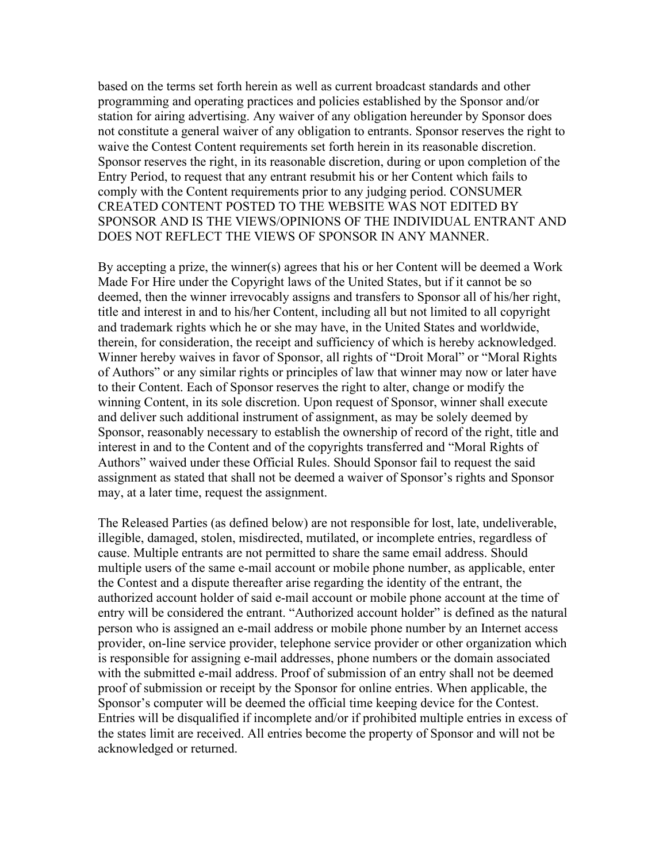based on the terms set forth herein as well as current broadcast standards and other programming and operating practices and policies established by the Sponsor and/or station for airing advertising. Any waiver of any obligation hereunder by Sponsor does not constitute a general waiver of any obligation to entrants. Sponsor reserves the right to waive the Contest Content requirements set forth herein in its reasonable discretion. Sponsor reserves the right, in its reasonable discretion, during or upon completion of the Entry Period, to request that any entrant resubmit his or her Content which fails to comply with the Content requirements prior to any judging period. CONSUMER CREATED CONTENT POSTED TO THE WEBSITE WAS NOT EDITED BY SPONSOR AND IS THE VIEWS/OPINIONS OF THE INDIVIDUAL ENTRANT AND DOES NOT REFLECT THE VIEWS OF SPONSOR IN ANY MANNER.

By accepting a prize, the winner(s) agrees that his or her Content will be deemed a Work Made For Hire under the Copyright laws of the United States, but if it cannot be so deemed, then the winner irrevocably assigns and transfers to Sponsor all of his/her right, title and interest in and to his/her Content, including all but not limited to all copyright and trademark rights which he or she may have, in the United States and worldwide, therein, for consideration, the receipt and sufficiency of which is hereby acknowledged. Winner hereby waives in favor of Sponsor, all rights of "Droit Moral" or "Moral Rights of Authors" or any similar rights or principles of law that winner may now or later have to their Content. Each of Sponsor reserves the right to alter, change or modify the winning Content, in its sole discretion. Upon request of Sponsor, winner shall execute and deliver such additional instrument of assignment, as may be solely deemed by Sponsor, reasonably necessary to establish the ownership of record of the right, title and interest in and to the Content and of the copyrights transferred and "Moral Rights of Authors" waived under these Official Rules. Should Sponsor fail to request the said assignment as stated that shall not be deemed a waiver of Sponsor's rights and Sponsor may, at a later time, request the assignment.

The Released Parties (as defined below) are not responsible for lost, late, undeliverable, illegible, damaged, stolen, misdirected, mutilated, or incomplete entries, regardless of cause. Multiple entrants are not permitted to share the same email address. Should multiple users of the same e-mail account or mobile phone number, as applicable, enter the Contest and a dispute thereafter arise regarding the identity of the entrant, the authorized account holder of said e-mail account or mobile phone account at the time of entry will be considered the entrant. "Authorized account holder" is defined as the natural person who is assigned an e-mail address or mobile phone number by an Internet access provider, on-line service provider, telephone service provider or other organization which is responsible for assigning e-mail addresses, phone numbers or the domain associated with the submitted e-mail address. Proof of submission of an entry shall not be deemed proof of submission or receipt by the Sponsor for online entries. When applicable, the Sponsor's computer will be deemed the official time keeping device for the Contest. Entries will be disqualified if incomplete and/or if prohibited multiple entries in excess of the states limit are received. All entries become the property of Sponsor and will not be acknowledged or returned.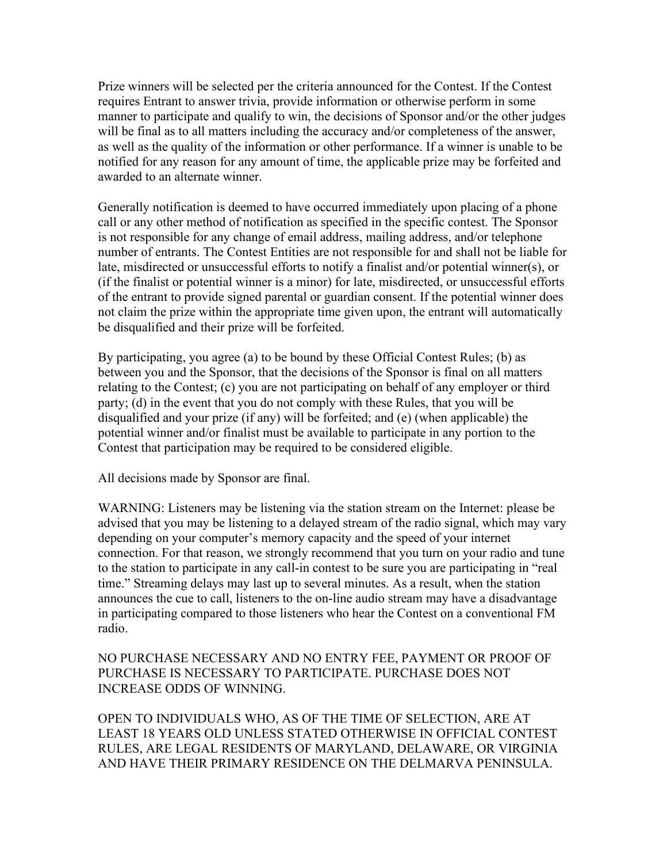Prize winners will be selected per the criteria announced for the Contest. If the Contest requires Entrant to answer trivia, provide information or otherwise perform in some manner to participate and qualify to win, the decisions of Sponsor and/or the other judges will be final as to all matters including the accuracy and/or completeness of the answer, as well as the quality of the information or other performance. If a winner is unable to be notified for any reason for any amount of time, the applicable prize may be forfeited and awarded to an alternate winner.

Generally notification is deemed to have occurred immediately upon placing of a phone call or any other method of notification as specified in the specific contest. The Sponsor is not responsible for any change of email address, mailing address, and/or telephone number of entrants. The Contest Entities are not responsible for and shall not be liable for late, misdirected or unsuccessful efforts to notify a finalist and/or potential winner(s), or (if the finalist or potential winner is a minor) for late, misdirected, or unsuccessful efforts of the entrant to provide signed parental or guardian consent. If the potential winner does not claim the prize within the appropriate time given upon, the entrant will automatically be disqualified and their prize will be forfeited.

By participating, you agree (a) to be bound by these Official Contest Rules; (b) as between you and the Sponsor, that the decisions of the Sponsor is final on all matters relating to the Contest; (c) you are not participating on behalf of any employer or third party; (d) in the event that you do not comply with these Rules, that you will be disqualified and your prize (if any) will be forfeited; and (e) (when applicable) the potential winner and/or finalist must be available to participate in any portion to the Contest that participation may be required to be considered eligible.

All decisions made by Sponsor are final.

WARNING: Listeners may be listening via the station stream on the Internet: please be advised that you may be listening to a delayed stream of the radio signal, which may vary depending on your computer's memory capacity and the speed of your internet connection. For that reason, we strongly recommend that you turn on your radio and tune to the station to participate in any call-in contest to be sure you are participating in "real time." Streaming delays may last up to several minutes. As a result, when the station announces the cue to call, listeners to the on-line audio stream may have a disadvantage in participating compared to those listeners who hear the Contest on a conventional FM radio.

NO PURCHASE NECESSARY AND NO ENTRY FEE, PAYMENT OR PROOF OF PURCHASE IS NECESSARY TO PARTICIPATE. PURCHASE DOES NOT INCREASE ODDS OF WINNING.

OPEN TO INDIVIDUALS WHO, AS OF THE TIME OF SELECTION, ARE AT LEAST 18 YEARS OLD UNLESS STATED OTHERWISE IN OFFICIAL CONTEST RULES, ARE LEGAL RESIDENTS OF MARYLAND, DELAWARE, OR VIRGINIA AND HAVE THEIR PRIMARY RESIDENCE ON THE DELMARVA PENINSULA.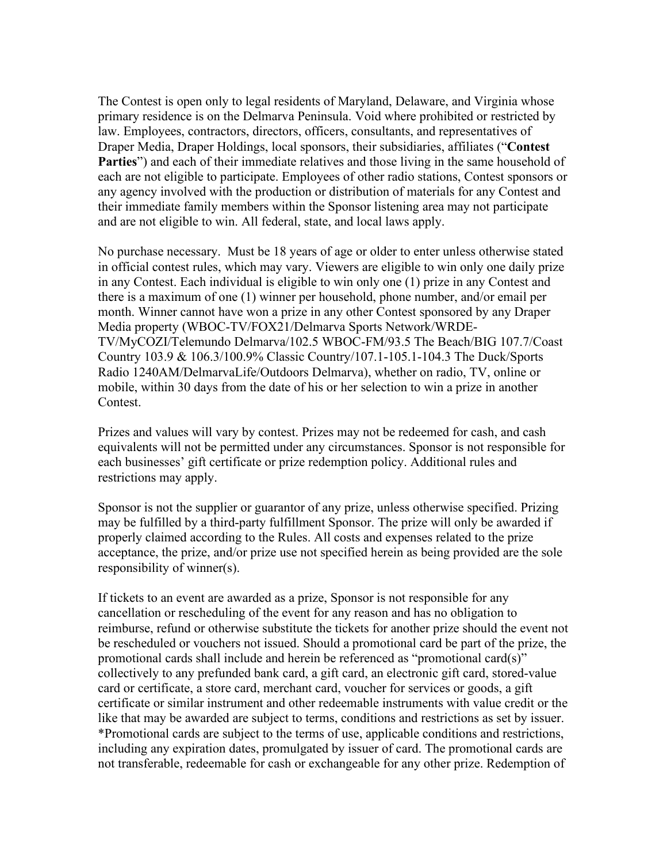The Contest is open only to legal residents of Maryland, Delaware, and Virginia whose primary residence is on the Delmarva Peninsula. Void where prohibited or restricted by law. Employees, contractors, directors, officers, consultants, and representatives of Draper Media, Draper Holdings, local sponsors, their subsidiaries, affiliates ("**Contest Parties**") and each of their immediate relatives and those living in the same household of each are not eligible to participate. Employees of other radio stations, Contest sponsors or any agency involved with the production or distribution of materials for any Contest and their immediate family members within the Sponsor listening area may not participate and are not eligible to win. All federal, state, and local laws apply.

No purchase necessary. Must be 18 years of age or older to enter unless otherwise stated in official contest rules, which may vary. Viewers are eligible to win only one daily prize in any Contest. Each individual is eligible to win only one (1) prize in any Contest and there is a maximum of one (1) winner per household, phone number, and/or email per month. Winner cannot have won a prize in any other Contest sponsored by any Draper Media property (WBOC-TV/FOX21/Delmarva Sports Network/WRDE-TV/MyCOZI/Telemundo Delmarva/102.5 WBOC-FM/93.5 The Beach/BIG 107.7/Coast Country 103.9 & 106.3/100.9% Classic Country/107.1-105.1-104.3 The Duck/Sports Radio 1240AM/DelmarvaLife/Outdoors Delmarva), whether on radio, TV, online or mobile, within 30 days from the date of his or her selection to win a prize in another Contest.

Prizes and values will vary by contest. Prizes may not be redeemed for cash, and cash equivalents will not be permitted under any circumstances. Sponsor is not responsible for each businesses' gift certificate or prize redemption policy. Additional rules and restrictions may apply.

Sponsor is not the supplier or guarantor of any prize, unless otherwise specified. Prizing may be fulfilled by a third-party fulfillment Sponsor. The prize will only be awarded if properly claimed according to the Rules. All costs and expenses related to the prize acceptance, the prize, and/or prize use not specified herein as being provided are the sole responsibility of winner(s).

If tickets to an event are awarded as a prize, Sponsor is not responsible for any cancellation or rescheduling of the event for any reason and has no obligation to reimburse, refund or otherwise substitute the tickets for another prize should the event not be rescheduled or vouchers not issued. Should a promotional card be part of the prize, the promotional cards shall include and herein be referenced as "promotional card(s)" collectively to any prefunded bank card, a gift card, an electronic gift card, stored-value card or certificate, a store card, merchant card, voucher for services or goods, a gift certificate or similar instrument and other redeemable instruments with value credit or the like that may be awarded are subject to terms, conditions and restrictions as set by issuer. \*Promotional cards are subject to the terms of use, applicable conditions and restrictions, including any expiration dates, promulgated by issuer of card. The promotional cards are not transferable, redeemable for cash or exchangeable for any other prize. Redemption of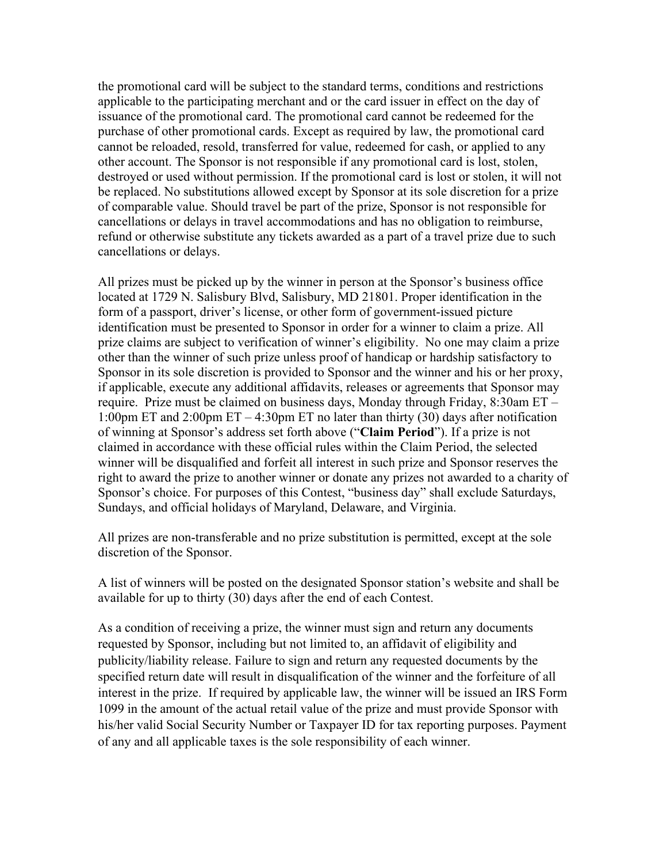the promotional card will be subject to the standard terms, conditions and restrictions applicable to the participating merchant and or the card issuer in effect on the day of issuance of the promotional card. The promotional card cannot be redeemed for the purchase of other promotional cards. Except as required by law, the promotional card cannot be reloaded, resold, transferred for value, redeemed for cash, or applied to any other account. The Sponsor is not responsible if any promotional card is lost, stolen, destroyed or used without permission. If the promotional card is lost or stolen, it will not be replaced. No substitutions allowed except by Sponsor at its sole discretion for a prize of comparable value. Should travel be part of the prize, Sponsor is not responsible for cancellations or delays in travel accommodations and has no obligation to reimburse, refund or otherwise substitute any tickets awarded as a part of a travel prize due to such cancellations or delays.

All prizes must be picked up by the winner in person at the Sponsor's business office located at 1729 N. Salisbury Blvd, Salisbury, MD 21801. Proper identification in the form of a passport, driver's license, or other form of government-issued picture identification must be presented to Sponsor in order for a winner to claim a prize. All prize claims are subject to verification of winner's eligibility. No one may claim a prize other than the winner of such prize unless proof of handicap or hardship satisfactory to Sponsor in its sole discretion is provided to Sponsor and the winner and his or her proxy, if applicable, execute any additional affidavits, releases or agreements that Sponsor may require. Prize must be claimed on business days, Monday through Friday, 8:30am ET – 1:00pm ET and 2:00pm ET – 4:30pm ET no later than thirty (30) days after notification of winning at Sponsor's address set forth above ("**Claim Period**"). If a prize is not claimed in accordance with these official rules within the Claim Period, the selected winner will be disqualified and forfeit all interest in such prize and Sponsor reserves the right to award the prize to another winner or donate any prizes not awarded to a charity of Sponsor's choice. For purposes of this Contest, "business day" shall exclude Saturdays, Sundays, and official holidays of Maryland, Delaware, and Virginia.

All prizes are non-transferable and no prize substitution is permitted, except at the sole discretion of the Sponsor.

A list of winners will be posted on the designated Sponsor station's website and shall be available for up to thirty (30) days after the end of each Contest.

As a condition of receiving a prize, the winner must sign and return any documents requested by Sponsor, including but not limited to, an affidavit of eligibility and publicity/liability release. Failure to sign and return any requested documents by the specified return date will result in disqualification of the winner and the forfeiture of all interest in the prize. If required by applicable law, the winner will be issued an IRS Form 1099 in the amount of the actual retail value of the prize and must provide Sponsor with his/her valid Social Security Number or Taxpayer ID for tax reporting purposes. Payment of any and all applicable taxes is the sole responsibility of each winner.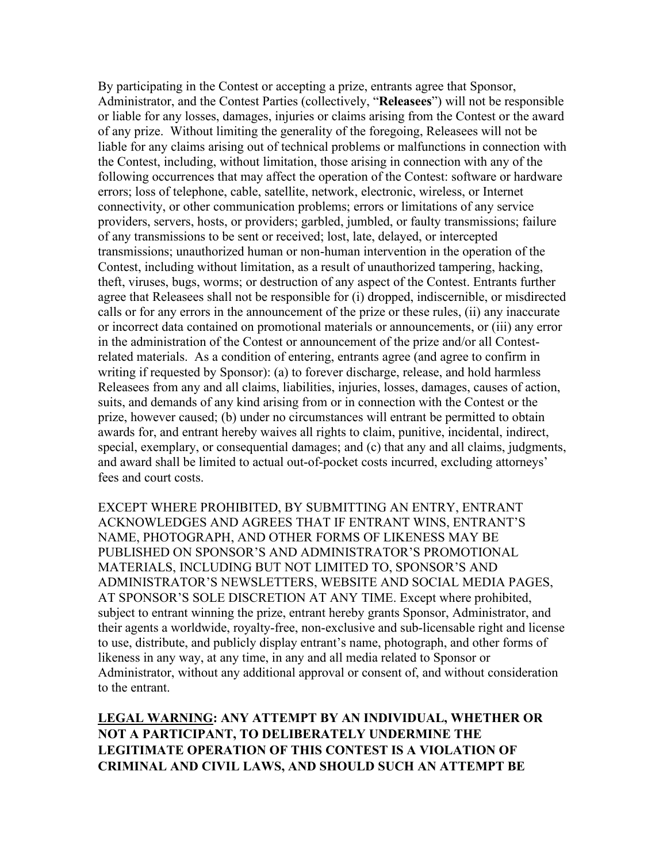By participating in the Contest or accepting a prize, entrants agree that Sponsor, Administrator, and the Contest Parties (collectively, "**Releasees**") will not be responsible or liable for any losses, damages, injuries or claims arising from the Contest or the award of any prize. Without limiting the generality of the foregoing, Releasees will not be liable for any claims arising out of technical problems or malfunctions in connection with the Contest, including, without limitation, those arising in connection with any of the following occurrences that may affect the operation of the Contest: software or hardware errors; loss of telephone, cable, satellite, network, electronic, wireless, or Internet connectivity, or other communication problems; errors or limitations of any service providers, servers, hosts, or providers; garbled, jumbled, or faulty transmissions; failure of any transmissions to be sent or received; lost, late, delayed, or intercepted transmissions; unauthorized human or non-human intervention in the operation of the Contest, including without limitation, as a result of unauthorized tampering, hacking, theft, viruses, bugs, worms; or destruction of any aspect of the Contest. Entrants further agree that Releasees shall not be responsible for (i) dropped, indiscernible, or misdirected calls or for any errors in the announcement of the prize or these rules, (ii) any inaccurate or incorrect data contained on promotional materials or announcements, or (iii) any error in the administration of the Contest or announcement of the prize and/or all Contestrelated materials. As a condition of entering, entrants agree (and agree to confirm in writing if requested by Sponsor): (a) to forever discharge, release, and hold harmless Releasees from any and all claims, liabilities, injuries, losses, damages, causes of action, suits, and demands of any kind arising from or in connection with the Contest or the prize, however caused; (b) under no circumstances will entrant be permitted to obtain awards for, and entrant hereby waives all rights to claim, punitive, incidental, indirect, special, exemplary, or consequential damages; and (c) that any and all claims, judgments, and award shall be limited to actual out-of-pocket costs incurred, excluding attorneys' fees and court costs.

EXCEPT WHERE PROHIBITED, BY SUBMITTING AN ENTRY, ENTRANT ACKNOWLEDGES AND AGREES THAT IF ENTRANT WINS, ENTRANT'S NAME, PHOTOGRAPH, AND OTHER FORMS OF LIKENESS MAY BE PUBLISHED ON SPONSOR'S AND ADMINISTRATOR'S PROMOTIONAL MATERIALS, INCLUDING BUT NOT LIMITED TO, SPONSOR'S AND ADMINISTRATOR'S NEWSLETTERS, WEBSITE AND SOCIAL MEDIA PAGES, AT SPONSOR'S SOLE DISCRETION AT ANY TIME. Except where prohibited, subject to entrant winning the prize, entrant hereby grants Sponsor, Administrator, and their agents a worldwide, royalty-free, non-exclusive and sub-licensable right and license to use, distribute, and publicly display entrant's name, photograph, and other forms of likeness in any way, at any time, in any and all media related to Sponsor or Administrator, without any additional approval or consent of, and without consideration to the entrant.

**LEGAL WARNING: ANY ATTEMPT BY AN INDIVIDUAL, WHETHER OR NOT A PARTICIPANT, TO DELIBERATELY UNDERMINE THE LEGITIMATE OPERATION OF THIS CONTEST IS A VIOLATION OF CRIMINAL AND CIVIL LAWS, AND SHOULD SUCH AN ATTEMPT BE**